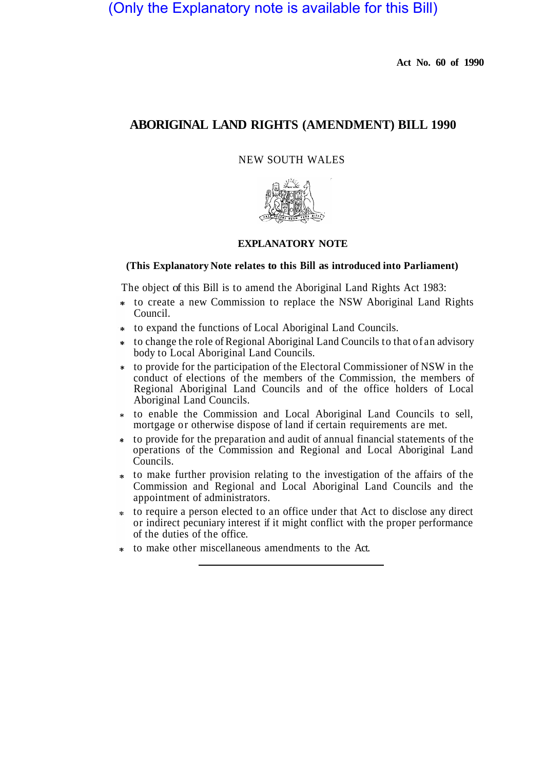# (Only the Explanatory note is available for this Bill)

**Act No. 60 of 1990** 

## **ABORIGINAL LAND RIGHTS (AMENDMENT) BILL 1990**

NEW SOUTH WALES



## **EXPLANATORY NOTE**

#### **(This Explanatory Note relates to this Bill as introduced into Parliament)**

The object of this Bill is to amend the Aboriginal Land Rights Act 1983:

- to create a new Commission to replace the NSW Aboriginal Land Rights Council.
- to expand the functions of Local Aboriginal Land Councils.
- to change the role of Regional Aboriginal Land Councils to that of an advisory body to Local Aboriginal Land Councils.
- to provide for the participation of the Electoral Commissioner of NSW in the conduct of elections of the members of the Commission, the members of Regional Aboriginal Land Councils and of the office holders of Local Aboriginal Land Councils.
- to enable the Commission and Local Aboriginal Land Councils to sell, mortgage or otherwise dispose of land if certain requirements are met.
- to provide for the preparation and audit of annual financial statements of the operations of the Commission and Regional and Local Aboriginal Land Councils.
- to make further provision relating to the investigation of the affairs of the Commission and Regional and Local Aboriginal Land Councils and the appointment of administrators.
- to require a person elected to an office under that Act to disclose any direct or indirect pecuniary interest if it might conflict with the proper performance of the duties of the office.
- to make other miscellaneous amendments to the Act.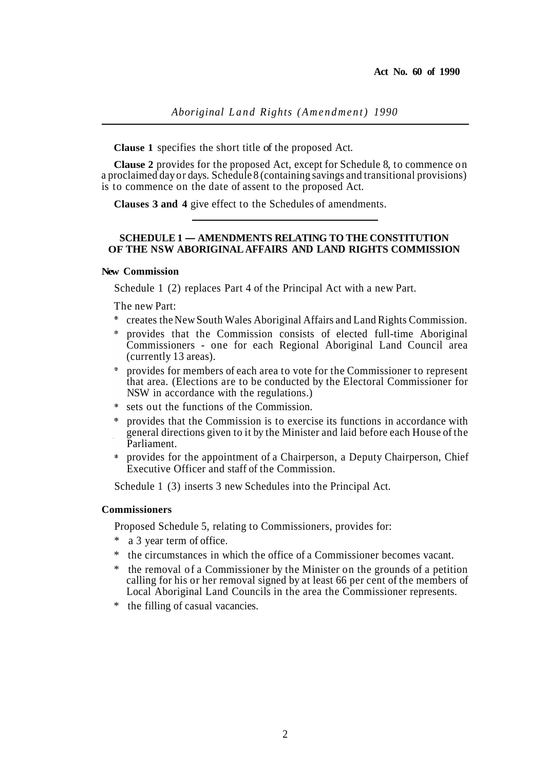**Clause 1** specifies the short title of the proposed Act.

**Clause 2** provides for the proposed Act, except for Schedule 8, to commence on a proclaimed day or days. Schedule 8 (containing savings and transitional provisions) is to commence on the date of assent to the proposed Act.

**Clauses 3 and 4** give effect to the Schedules of amendments.

## **SCHEDULE 1 — AMENDMENTS RELATING TO THE CONSTITUTION OF THE NSW ABORIGINAL AFFAIRS AND LAND RIGHTS COMMISSION**

## **New Commission**

Schedule 1 (2) replaces Part 4 of the Principal Act with a new Part.

The new Part:

- creates the New South Wales Aboriginal Affairs and Land Rights Commission.
- provides that the Commission consists of elected full-time Aboriginal Commissioners - one for each Regional Aboriginal Land Council area (currently 13 areas).
- provides for members of each area to vote for the Commissioner to represent  $\ddot{\mathbf{r}}$ that area. (Elections are to be conducted by the Electoral Commissioner for NSW in accordance with the regulations.)
- sets out the functions of the Commission.
- provides that the Commission is to exercise its functions in accordance with general directions given to it by the Minister and laid before each House of the Parliament.
- provides for the appointment of a Chairperson, a Deputy Chairperson, Chief Executive Officer and staff of the Commission.

Schedule 1 (3) inserts 3 new Schedules into the Principal Act.

#### **Commissioners**

Proposed Schedule 5, relating to Commissioners, provides for:

- \* a 3 year term of office.
- \* the circumstances in which the office of a Commissioner becomes vacant.
- the removal of a Commissioner by the Minister on the grounds of a petition calling for his or her removal signed by at least 66 per cent of the members of Local Aboriginal Land Councils in the area the Commissioner represents.
- \* the filling of casual vacancies.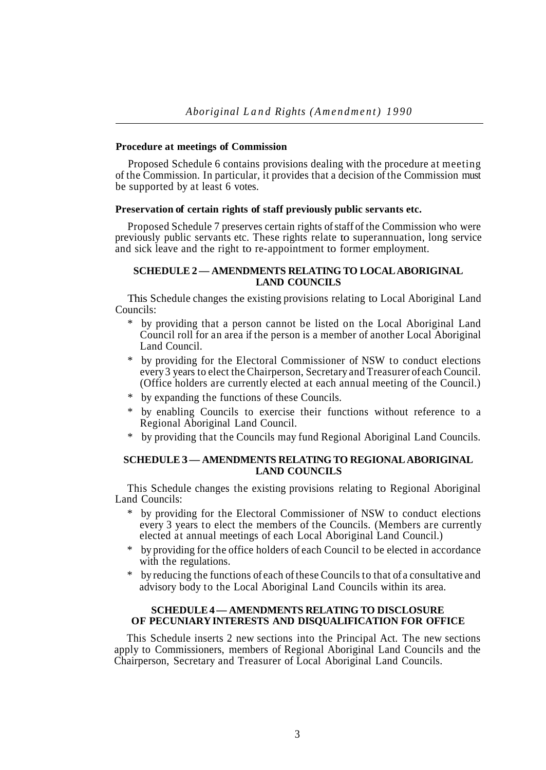#### **Procedure at meetings of Commission**

Proposed Schedule 6 contains provisions dealing with the procedure at meeting of the Commission. In particular, it provides that a decision of the Commission must be supported by at least 6 votes.

## **Preservation of certain rights of staff previously public servants etc.**

Proposed Schedule 7 preserves certain rights of staff of the Commission who were previously public servants etc. These rights relate to superannuation, long service and sick leave and the right to re-appointment to former employment.

## **SCHEDULE 2 — AMENDMENTS RELATING TO LOCAL ABORIGINAL LAND COUNCILS**

This Schedule changes the existing provisions relating to Local Aboriginal Land Councils:

- \* by providing that a person cannot be listed on the Local Aboriginal Land Council roll for an area if the person is a member of another Local Aboriginal Land Council.
- by providing for the Electoral Commissioner of NSW to conduct elections every 3 years to elect the Chairperson, Secretary and Treasurer of each Council. (Office holders are currently elected at each annual meeting of the Council.)
- \* by expanding the functions of these Councils.
- by enabling Councils to exercise their functions without reference to a Regional Aboriginal Land Council.
- by providing that the Councils may fund Regional Aboriginal Land Councils.

## **SCHEDULE 3 — AMENDMENTS RELATING TO REGIONAL ABORIGINAL LAND COUNCILS**

This Schedule changes the existing provisions relating to Regional Aboriginal Land Councils:

- by providing for the Electoral Commissioner of NSW to conduct elections every 3 years to elect the members of the Councils. (Members are currently elected at annual meetings of each Local Aboriginal Land Council.)
- \* by providing for the office holders of each Council to be elected in accordance with the regulations.
- by reducing the functions of each of these Councils to that of a consultative and advisory body to the Local Aboriginal Land Councils within its area.

## **SCHEDULE 4 — AMENDMENTS RELATING TO DISCLOSURE OF PECUNIARY INTERESTS AND DISQUALIFICATION FOR OFFICE**

This Schedule inserts 2 new sections into the Principal Act. The new sections apply to Commissioners, members of Regional Aboriginal Land Councils and the Chairperson, Secretary and Treasurer of Local Aboriginal Land Councils.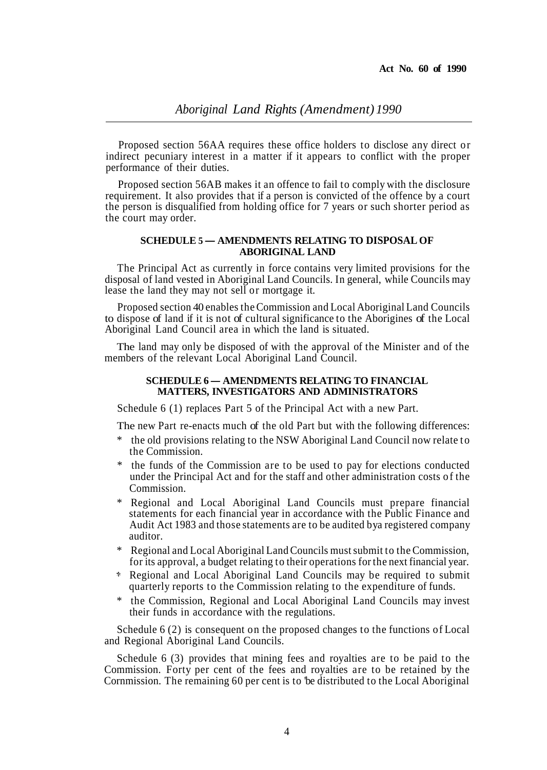Proposed section 56AA requires these office holders to disclose any direct or indirect pecuniary interest in a matter if it appears to conflict with the proper performance of their duties.

Proposed section 56AB makes it an offence to fail to comply with the disclosure requirement. It also provides that if a person is convicted of the offence by a court the person is disqualified from holding office for 7 years or such shorter period as the court may order.

## **SCHEDULE 5** *—* **AMENDMENTS RELATING TO DISPOSAL OF ABORIGINAL LAND**

The Principal Act as currently in force contains very limited provisions for the disposal of land vested in Aboriginal Land Councils. In general, while Councils may lease the land they may not sell or mortgage it.

Proposed section 40 enables the Commission and Local Aboriginal Land Councils to dispose of land if it is not of cultural significance to the Aborigines of the Local Aboriginal Land Council area in which the land is situated.

The land may only be disposed of with the approval of the Minister and of the members of the relevant Local Aboriginal Land Council.

## **SCHEDULE 6** *—* **AMENDMENTS RELATING TO FINANCIAL MATTERS, INVESTIGATORS AND ADMINISTRATORS**

Schedule 6 (1) replaces Part 5 of the Principal Act with a new Part.

The new Part re-enacts much of the old Part but with the following differences:

- the old provisions relating to the NSW Aboriginal Land Council now relate to the Commission.
- the funds of the Commission are to be used to pay for elections conducted under the Principal Act and for the staff and other administration costs of the Commission.
- \* Regional and Local Aboriginal Land Councils must prepare financial statements for each financial year in accordance with the Public Finance and Audit Act 1983 and those statements are to be audited by a registered company auditor.
- \* Regional and Local Aboriginal Land Councils must submit to the Commission, for its approval, a budget relating to their operations for the next financial year.
- Regional and Local Aboriginal Land Councils may be required to submit quarterly reports to the Commission relating to the expenditure of funds.
- \* the Commission, Regional and Local Aboriginal Land Councils may invest their funds in accordance with the regulations.

Schedule 6 (2) is consequent on the proposed changes to the functions of Local and Regional Aboriginal Land Councils.

Schedule 6 (3) provides that mining fees and royalties are to be paid to the Commission. Forty per cent of the fees and royalties are to be retained by the Cornmission. The remaining 60 per cent is to 'be distributed to the Local Aboriginal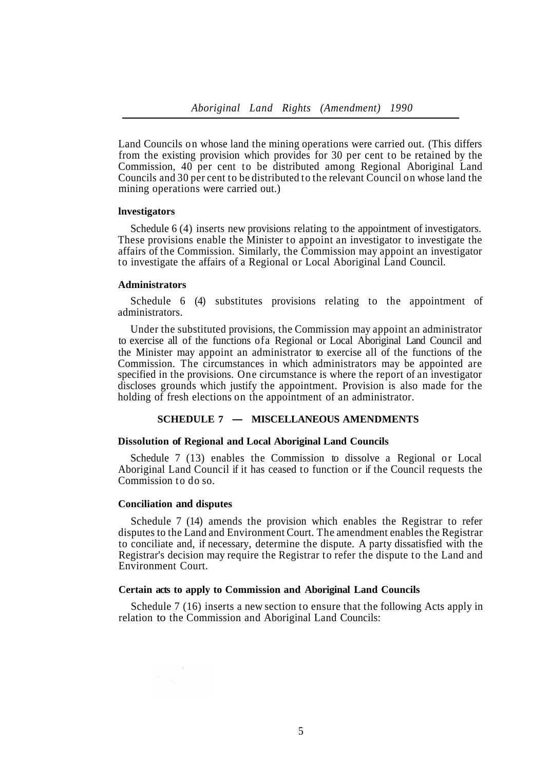Land Councils on whose land the mining operations were carried out. (This differs from the existing provision which provides for 30 per cent to be retained by the Commission, 40 per cent to be distributed among Regional Aboriginal Land Councils and 30 per cent to be distributed to the relevant Council on whose land the mining operations were carried out.)

## **lnvestigators**

Schedule 6 (4) inserts new provisions relating to the appointment of investigators. These provisions enable the Minister to appoint an investigator to investigate the affairs of the Commission. Similarly, the Commission may appoint an investigator to investigate the affairs of a Regional or Local Aboriginal Land Council.

#### **Administrators**

Schedule 6 (4) substitutes provisions relating to the appointment of administrators.

Under the substituted provisions, the Commission may appoint an administrator to exercise all of the functions of a Regional or Local Aboriginal Land Council and the Minister may appoint an administrator to exercise all of the functions of the Commission. The circumstances in which administrators may be appointed are specified in the provisions. One circumstance is where the report of an investigator discloses grounds which justify the appointment. Provision is also made for the holding of fresh elections on the appointment of an administrator.

#### **SCHEDULE 7 — MISCELLANEOUS AMENDMENTS**

#### **Dissolution of Regional and Local Aboriginal Land Councils**

Schedule 7 (13) enables the Commission to dissolve a Regional or Local Aboriginal Land Council if it has ceased to function or if the Council requests the Commission to do so.

#### **Conciliation and disputes**

Schedule 7 (14) amends the provision which enables the Registrar to refer disputes to the Land and Environment Court. The amendment enables the Registrar to conciliate and, if necessary, determine the dispute. A party dissatisfied with the Registrar's decision may require the Registrar to refer the dispute to the Land and Environment Court.

#### **Certain acts to apply to Commission and Aboriginal Land Councils**

relation to the Commission and Aboriginal Land Councils: Schedule 7 (16) inserts a new section to ensure that the following Acts apply in